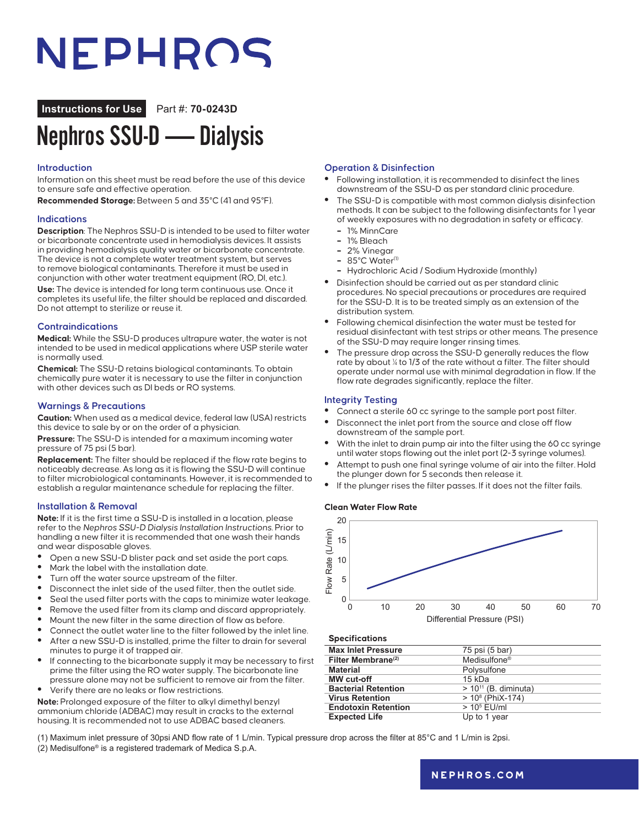# NEPHROS

**Instructions for Use** Part #: **70-0243D**

## Nephros SSU-D — Dialysis

#### **Introduction**

Information on this sheet must be read before the use of this device to ensure safe and effective operation.

**Recommended Storage:** Between 5 and 35°C (41 and 95°F).

#### **Indications**

**Description**: The Nephros SSU-D is intended to be used to filter water or bicarbonate concentrate used in hemodialysis devices. It assists in providing hemodialysis quality water or bicarbonate concentrate. The device is not a complete water treatment system, but serves to remove biological contaminants. Therefore it must be used in conjunction with other water treatment equipment (RO, DI, etc.). **Use:** The device is intended for long term continuous use. Once it completes its useful life, the filter should be replaced and discarded. Do not attempt to sterilize or reuse it.

#### **Contraindications**

**Medical:** While the SSU-D produces ultrapure water, the water is not intended to be used in medical applications where USP sterile water is normally used.

**Chemical:** The SSU-D retains biological contaminants. To obtain chemically pure water it is necessary to use the filter in conjunction with other devices such as DI beds or RO systems.

#### **Warnings & Precautions**

**Caution:** When used as a medical device, federal law (USA) restricts this device to sale by or on the order of a physician.

**Pressure:** The SSU-D is intended for a maximum incoming water pressure of 75 psi (5 bar).

**Replacement:** The filter should be replaced if the flow rate begins to noticeably decrease. As long as it is flowing the SSU-D will continue to filter microbiological contaminants. However, it is recommended to establish a regular maintenance schedule for replacing the filter.

#### **Installation & Removal**

**Note:** If it is the first time a SSU-D is installed in a location, please refer to the Nephros SSU-D Dialysis Installation Instructions. Prior to handling a new filter it is recommended that one wash their hands and wear disposable gloves.

- **•** Open a new SSU-D blister pack and set aside the port caps.
- **•** Mark the label with the installation date.
- **•** Turn off the water source upstream of the filter.
- **•** Disconnect the inlet side of the used filter, then the outlet side.
- **•** Seal the used filter ports with the caps to minimize water leakage.
- **•** Remove the used filter from its clamp and discard appropriately.
- **•** Mount the new filter in the same direction of flow as before.
- **•** Connect the outlet water line to the filter followed by the inlet line. **•** After a new SSU-D is installed, prime the filter to drain for several
- minutes to purge it of trapped air. **•** If connecting to the bicarbonate supply it may be necessary to first
- prime the filter using the RO water supply. The bicarbonate line pressure alone may not be sufficient to remove air from the filter.
- **•** Verify there are no leaks or flow restrictions.

**Note:** Prolonged exposure of the filter to alkyl dimethyl benzyl ammonium chloride (ADBAC) may result in cracks to the external housing. It is recommended not to use ADBAC based cleaners.

**Operation & Disinfection**

- **•** Following installation, it is recommended to disinfect the lines downstream of the SSU-D as per standard clinic procedure.
- **•** The SSU-D is compatible with most common dialysis disinfection methods. It can be subject to the following disinfectants for 1 year of weekly exposures with no degradation in safety or efficacy.
	- **–** 1% MinnCare
- **–** 1% Bleach
- **–** 2% Vinegar
- **–** 85°C Water(1)
- **–** Hydrochloric Acid / Sodium Hydroxide (monthly)
- **•** Disinfection should be carried out as per standard clinic procedures. No special precautions or procedures are required for the SSU-D. It is to be treated simply as an extension of the distribution system.
- **•** Following chemical disinfection the water must be tested for residual disinfectant with test strips or other means. The presence of the SSU-D may require longer rinsing times.
- **•** The pressure drop across the SSU-D generally reduces the flow rate by about  $\frac{1}{4}$  to 1/3 of the rate without a filter. The filter should operate under normal use with minimal degradation in flow. If the flow rate degrades significantly, replace the filter.

#### **Integrity Testing**

- **•** Connect a sterile 60 cc syringe to the sample port post filter.
- **•** Disconnect the inlet port from the source and close off flow downstream of the sample port.
- **•** With the inlet to drain pump air into the filter using the 60 cc syringe until water stops flowing out the inlet port (2-3 syringe volumes).
- **•** Attempt to push one final syringe volume of air into the filter. Hold the plunger down for 5 seconds then release it.
- **•** If the plunger rises the filter passes. If it does not the filter fails.

#### **Clean Water Flow Rate**



#### **Specifications**

| <b>Max Inlet Pressure</b>  | 75 psi (5 bar)            |
|----------------------------|---------------------------|
| Filter Membrane $(2)$      | Medisulfone <sup>®</sup>  |
| <b>Material</b>            | Polysulfone               |
| MW cut-off                 | $15$ kDa                  |
| <b>Bacterial Retention</b> | $> 10^{11}$ (B. diminuta) |
| <b>Virus Retention</b>     | $> 108$ (PhiX-174)        |
| <b>Endotoxin Retention</b> | $> 105$ EU/ml             |
| <b>Expected Life</b>       | Up to 1 year              |
|                            |                           |

(1) Maximum inlet pressure of 30psi AND flow rate of 1 L/min. Typical pressure drop across the filter at 85°C and 1 L/min is 2psi. (2) Medisulfone® is a registered trademark of Medica S.p.A.

### **[nephros.com](https://www.nephros.com/)**